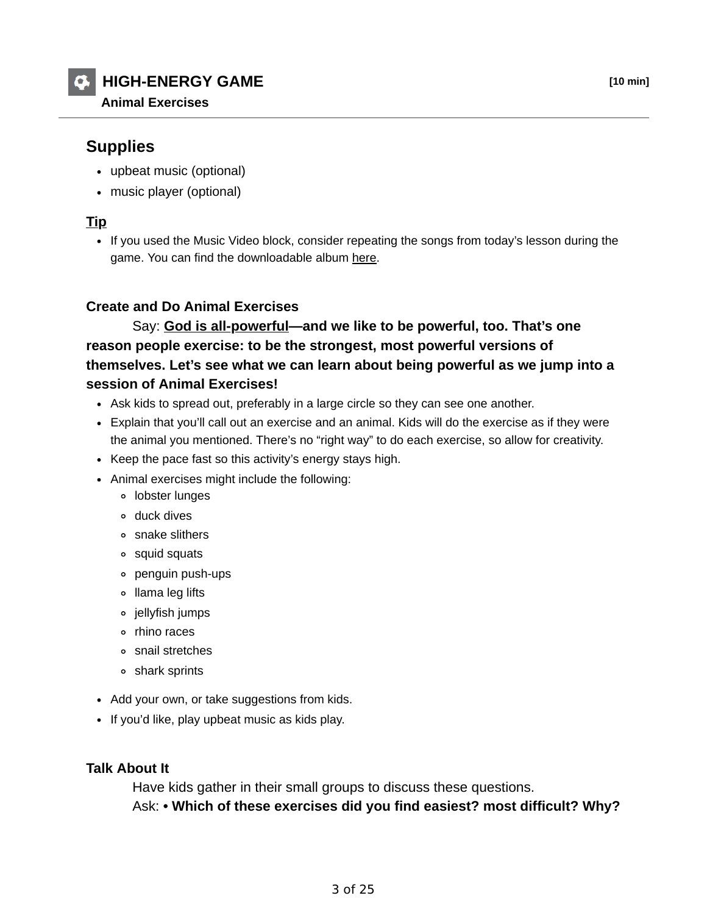# **HIGH-ENERGY GAME [10 min]**

## **Supplies**

- upbeat music (optional)
- music player (optional)

### **Tip**

• If you used the Music Video block, consider repeating the songs from today's lesson during the game. You can find the downloadable album here.

#### **Create and Do Animal Exercises**

 Say: **God is all-powerful—and we like to be powerful, too. That's one reason people exercise: to be the strongest, most powerful versions of themselves. Let's see what we can learn about being powerful as we jump into a session of Animal Exercises!**

- Ask kids to spread out, preferably in a large circle so they can see one another.
- Explain that you'll call out an exercise and an animal. Kids will do the exercise as if they were the animal you mentioned. There's no "right way" to do each exercise, so allow for creativity.
- Keep the pace fast so this activity's energy stays high.
- Animal exercises might include the following:
	- lobster lunges
	- duck dives
	- snake slithers
	- squid squats
	- penguin push-ups
	- llama leg lifts
	- jellyfish jumps
	- rhino races
	- snail stretches
	- shark sprints
- Add your own, or take suggestions from kids.
- If you'd like, play upbeat music as kids play.

#### **Talk About It**

 Have kids gather in their small groups to discuss these questions. Ask: **• Which of these exercises did you find easiest? most difficult? Why?**